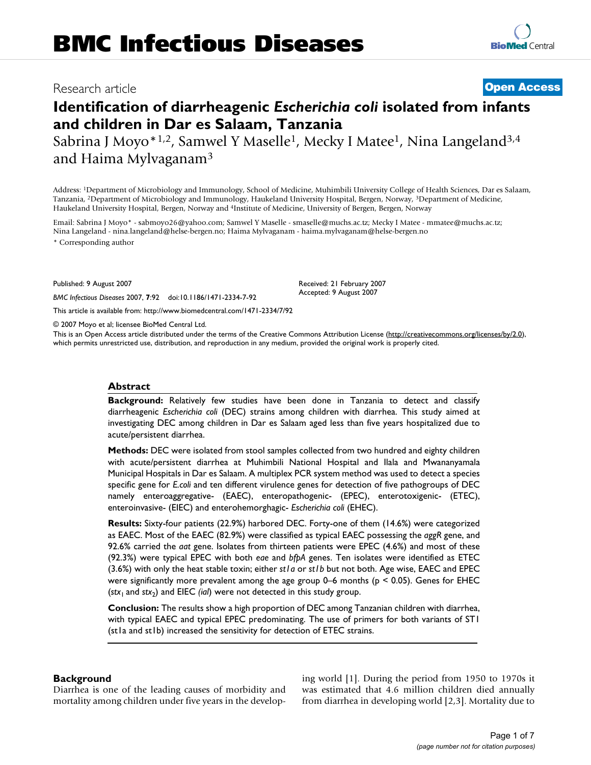## Research article **[Open Access](http://www.biomedcentral.com/info/about/charter/)**

**[BioMed](http://www.biomedcentral.com/)** Central

# **Identification of diarrheagenic** *Escherichia coli* **isolated from infants and children in Dar es Salaam, Tanzania**

Sabrina J Moyo\*<sup>1,2</sup>, Samwel Y Maselle<sup>1</sup>, Mecky I Matee<sup>1</sup>, Nina Langeland<sup>3,4</sup> and Haima Mylvaganam3

Address: 1Department of Microbiology and Immunology, School of Medicine, Muhimbili University College of Health Sciences, Dar es Salaam, Tanzania, 2Department of Microbiology and Immunology, Haukeland University Hospital, Bergen, Norway, 3Department of Medicine, Haukeland University Hospital, Bergen, Norway and 4Institute of Medicine, University of Bergen, Bergen, Norway

Email: Sabrina J Moyo\* - sabmoyo26@yahoo.com; Samwel Y Maselle - smaselle@muchs.ac.tz; Mecky I Matee - mmatee@muchs.ac.tz; Nina Langeland - nina.langeland@helse-bergen.no; Haima Mylvaganam - haima.mylvaganam@helse-bergen.no

\* Corresponding author

Published: 9 August 2007

*BMC Infectious Diseases* 2007, **7**:92 doi:10.1186/1471-2334-7-92

[This article is available from: http://www.biomedcentral.com/1471-2334/7/92](http://www.biomedcentral.com/1471-2334/7/92)

© 2007 Moyo et al; licensee BioMed Central Ltd.

This is an Open Access article distributed under the terms of the Creative Commons Attribution License [\(http://creativecommons.org/licenses/by/2.0\)](http://creativecommons.org/licenses/by/2.0), which permits unrestricted use, distribution, and reproduction in any medium, provided the original work is properly cited.

Received: 21 February 2007 Accepted: 9 August 2007

#### **Abstract**

**Background:** Relatively few studies have been done in Tanzania to detect and classify diarrheagenic *Escherichia coli* (DEC) strains among children with diarrhea. This study aimed at investigating DEC among children in Dar es Salaam aged less than five years hospitalized due to acute/persistent diarrhea.

**Methods:** DEC were isolated from stool samples collected from two hundred and eighty children with acute/persistent diarrhea at Muhimbili National Hospital and Ilala and Mwananyamala Municipal Hospitals in Dar es Salaam. A multiplex PCR system method was used to detect a species specific gene for *E.coli* and ten different virulence genes for detection of five pathogroups of DEC namely enteroaggregative- (EAEC), enteropathogenic- (EPEC), enterotoxigenic- (ETEC), enteroinvasive- (EIEC) and enterohemorghagic- *Escherichia coli* (EHEC).

**Results:** Sixty-four patients (22.9%) harbored DEC. Forty-one of them (14.6%) were categorized as EAEC. Most of the EAEC (82.9%) were classified as typical EAEC possessing the *aggR* gene, and 92.6% carried the *aat* gene. Isolates from thirteen patients were EPEC (4.6%) and most of these (92.3%) were typical EPEC with both *eae* and *bfpA* genes. Ten isolates were identified as ETEC (3.6%) with only the heat stable toxin; either *st1a* or *st1b* but not both. Age wise, EAEC and EPEC were significantly more prevalent among the age group 0–6 months ( $p < 0.05$ ). Genes for EHEC (stx<sub>1</sub> and stx<sub>2</sub>) and EIEC *(ial)* were not detected in this study group.

**Conclusion:** The results show a high proportion of DEC among Tanzanian children with diarrhea, with typical EAEC and typical EPEC predominating. The use of primers for both variants of ST1 (st1a and st1b) increased the sensitivity for detection of ETEC strains.

#### **Background**

Diarrhea is one of the leading causes of morbidity and mortality among children under five years in the developing world [1]. During the period from 1950 to 1970s it was estimated that 4.6 million children died annually from diarrhea in developing world [2,3]. Mortality due to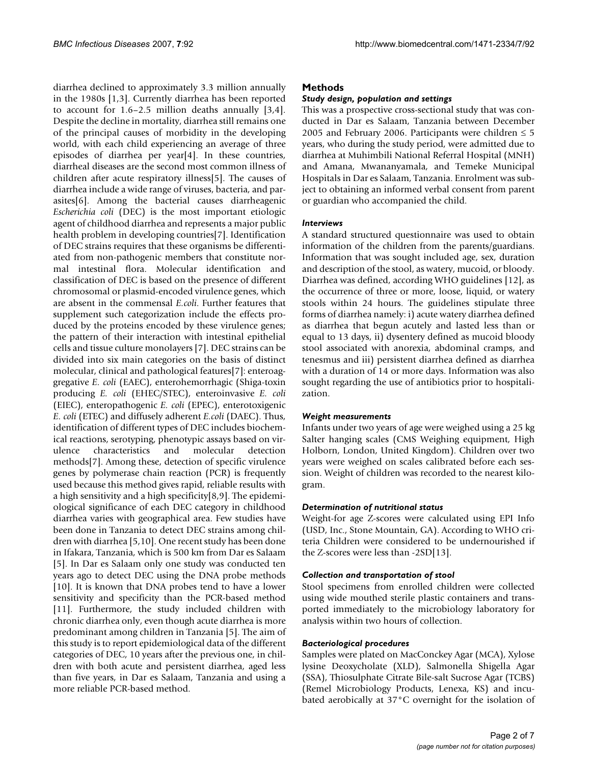diarrhea declined to approximately 3.3 million annually in the 1980s [1,3]. Currently diarrhea has been reported to account for 1.6–2.5 million deaths annually [3,4]. Despite the decline in mortality, diarrhea still remains one of the principal causes of morbidity in the developing world, with each child experiencing an average of three episodes of diarrhea per year[4]. In these countries, diarrheal diseases are the second most common illness of children after acute respiratory illness[5]. The causes of diarrhea include a wide range of viruses, bacteria, and parasites[6]. Among the bacterial causes diarrheagenic *Escherichia coli* (DEC) is the most important etiologic agent of childhood diarrhea and represents a major public health problem in developing countries[7]. Identification of DEC strains requires that these organisms be differentiated from non-pathogenic members that constitute normal intestinal flora. Molecular identification and classification of DEC is based on the presence of different chromosomal or plasmid-encoded virulence genes, which are absent in the commensal *E.coli*. Further features that supplement such categorization include the effects produced by the proteins encoded by these virulence genes; the pattern of their interaction with intestinal epithelial cells and tissue culture monolayers [7]. DEC strains can be divided into six main categories on the basis of distinct molecular, clinical and pathological features[7]: enteroaggregative *E. coli* (EAEC), enterohemorrhagic (Shiga-toxin producing *E. coli* (EHEC/STEC), enteroinvasive *E. coli* (EIEC), enteropathogenic *E. coli* (EPEC), enterotoxigenic *E. coli* (ETEC) and diffusely adherent *E.coli* (DAEC). Thus, identification of different types of DEC includes biochemical reactions, serotyping, phenotypic assays based on virulence characteristics and molecular detection methods[7]. Among these, detection of specific virulence genes by polymerase chain reaction (PCR) is frequently used because this method gives rapid, reliable results with a high sensitivity and a high specificity[8,9]. The epidemiological significance of each DEC category in childhood diarrhea varies with geographical area. Few studies have been done in Tanzania to detect DEC strains among children with diarrhea [5[,10](#page-6-0)]. One recent study has been done in Ifakara, Tanzania, which is 500 km from Dar es Salaam [5]. In Dar es Salaam only one study was conducted ten years ago to detect DEC using the DNA probe methods [[10](#page-6-0)]. It is known that DNA probes tend to have a lower sensitivity and specificity than the PCR-based method [11]. Furthermore, the study included children with chronic diarrhea only, even though acute diarrhea is more predominant among children in Tanzania [5]. The aim of this study is to report epidemiological data of the different categories of DEC, 10 years after the previous one, in children with both acute and persistent diarrhea, aged less than five years, in Dar es Salaam, Tanzania and using a more reliable PCR-based method.

#### **Methods**

#### *Study design, population and settings*

This was a prospective cross-sectional study that was conducted in Dar es Salaam, Tanzania between December 2005 and February 2006. Participants were children  $\leq 5$ years, who during the study period, were admitted due to diarrhea at Muhimbili National Referral Hospital (MNH) and Amana, Mwananyamala, and Temeke Municipal Hospitals in Dar es Salaam, Tanzania. Enrolment was subject to obtaining an informed verbal consent from parent or guardian who accompanied the child.

#### *Interviews*

A standard structured questionnaire was used to obtain information of the children from the parents/guardians. Information that was sought included age, sex, duration and description of the stool, as watery, mucoid, or bloody. Diarrhea was defined, according WHO guidelines [12], as the occurrence of three or more, loose, liquid, or watery stools within 24 hours. The guidelines stipulate three forms of diarrhea namely: i) acute watery diarrhea defined as diarrhea that begun acutely and lasted less than or equal to 13 days, ii) dysentery defined as mucoid bloody stool associated with anorexia, abdominal cramps, and tenesmus and iii) persistent diarrhea defined as diarrhea with a duration of 14 or more days. Information was also sought regarding the use of antibiotics prior to hospitalization.

#### *Weight measurements*

Infants under two years of age were weighed using a 25 kg Salter hanging scales (CMS Weighing equipment, High Holborn, London, United Kingdom). Children over two years were weighed on scales calibrated before each session. Weight of children was recorded to the nearest kilogram.

#### *Determination of nutritional status*

Weight-for age Z-scores were calculated using EPI Info (USD, Inc., Stone Mountain, GA). According to WHO criteria Children were considered to be undernourished if the Z-scores were less than -2SD[13].

#### *Collection and transportation of stool*

Stool specimens from enrolled children were collected using wide mouthed sterile plastic containers and transported immediately to the microbiology laboratory for analysis within two hours of collection.

#### *Bacteriological procedures*

Samples were plated on MacConckey Agar (MCA), Xylose lysine Deoxycholate (XLD), Salmonella Shigella Agar (SSA), Thiosulphate Citrate Bile-salt Sucrose Agar (TCBS) (Remel Microbiology Products, Lenexa, KS) and incubated aerobically at 37°C overnight for the isolation of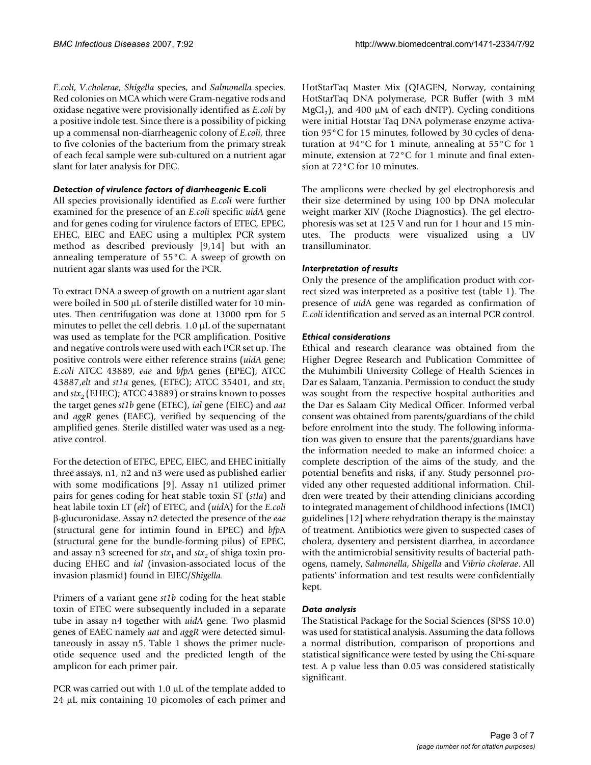*E.coli*, *V.cholerae*, *Shigella* species, and *Salmonella* species. Red colonies on MCA which were Gram-negative rods and oxidase negative were provisionally identified as *E.coli* by a positive indole test. Since there is a possibility of picking up a commensal non-diarrheagenic colony of *E.coli*, three to five colonies of the bacterium from the primary streak of each fecal sample were sub-cultured on a nutrient agar slant for later analysis for DEC.

#### *Detection of virulence factors of diarrheagenic* **E.coli**

All species provisionally identified as *E.coli* were further examined for the presence of an *E.coli* specific *uidA* gene and for genes coding for virulence factors of ETEC, EPEC, EHEC, EIEC and EAEC using a multiplex PCR system method as described previously [9,14] but with an annealing temperature of 55°C. A sweep of growth on nutrient agar slants was used for the PCR.

To extract DNA a sweep of growth on a nutrient agar slant were boiled in 500 μL of sterile distilled water for 10 minutes. Then centrifugation was done at 13000 rpm for 5 minutes to pellet the cell debris. 1.0 μL of the supernatant was used as template for the PCR amplification. Positive and negative controls were used with each PCR set up. The positive controls were either reference strains (*uidA* gene; *E.coli* ATCC 43889, *eae* and *bfpA* genes (EPEC); ATCC 43887,*elt* and *st1a* genes, (ETEC); ATCC 35401, and *stx*<sup>1</sup> and  $\text{str}_{2}$  (EHEC); ATCC 43889) or strains known to posses the target genes *st1b* gene (ETEC), *ial* gene (EIEC) and *aat* and *aggR* genes (EAEC), verified by sequencing of the amplified genes. Sterile distilled water was used as a negative control.

For the detection of ETEC, EPEC, EIEC, and EHEC initially three assays, n1, n2 and n3 were used as published earlier with some modifications [9]. Assay n1 utilized primer pairs for genes coding for heat stable toxin ST (*stIa*) and heat labile toxin LT (*elt*) of ETEC, and (*uid*A) for the *E.coli* β-glucuronidase. Assay n2 detected the presence of the *eae* (structural gene for intimin found in EPEC) and *bfp*A (structural gene for the bundle-forming pilus) of EPEC, and assay n3 screened for  $stx_1$  and  $stx_2$  of shiga toxin producing EHEC and *ial* (invasion-associated locus of the invasion plasmid) found in EIEC/*Shigella*.

Primers of a variant gene *st1b* coding for the heat stable toxin of ETEC were subsequently included in a separate tube in assay n4 together with *uidA* gene. Two plasmid genes of EAEC namely *aat* and *aggR* were detected simultaneously in assay n5. Table 1 shows the primer nucleotide sequence used and the predicted length of the amplicon for each primer pair.

PCR was carried out with 1.0 μL of the template added to 24 μL mix containing 10 picomoles of each primer and

HotStarTaq Master Mix (QIAGEN, Norway, containing HotStarTaq DNA polymerase, PCR Buffer (with 3 mM MgCl<sub>2</sub>), and 400  $\mu$ M of each dNTP). Cycling conditions were initial Hotstar Taq DNA polymerase enzyme activation 95°C for 15 minutes, followed by 30 cycles of denaturation at 94°C for 1 minute, annealing at 55°C for 1 minute, extension at 72°C for 1 minute and final extension at 72°C for 10 minutes.

The amplicons were checked by gel electrophoresis and their size determined by using 100 bp DNA molecular weight marker XIV (Roche Diagnostics). The gel electrophoresis was set at 125 V and run for 1 hour and 15 minutes. The products were visualized using a UV transilluminator.

#### *Interpretation of results*

Only the presence of the amplification product with correct sized was interpreted as a positive test (table 1). The presence of *uid*A gene was regarded as confirmation of *E.coli* identification and served as an internal PCR control.

#### *Ethical considerations*

Ethical and research clearance was obtained from the Higher Degree Research and Publication Committee of the Muhimbili University College of Health Sciences in Dar es Salaam, Tanzania. Permission to conduct the study was sought from the respective hospital authorities and the Dar es Salaam City Medical Officer. Informed verbal consent was obtained from parents/guardians of the child before enrolment into the study. The following information was given to ensure that the parents/guardians have the information needed to make an informed choice: a complete description of the aims of the study, and the potential benefits and risks, if any. Study personnel provided any other requested additional information. Children were treated by their attending clinicians according to integrated management of childhood infections (IMCI) guidelines [12] where rehydration therapy is the mainstay of treatment. Antibiotics were given to suspected cases of cholera, dysentery and persistent diarrhea, in accordance with the antimicrobial sensitivity results of bacterial pathogens, namely, *Salmonella*, *Shigella* and *Vibrio cholerae*. All patients' information and test results were confidentially kept.

#### *Data analysis*

The Statistical Package for the Social Sciences (SPSS 10.0) was used for statistical analysis. Assuming the data follows a normal distribution, comparison of proportions and statistical significance were tested by using the Chi-square test. A p value less than 0.05 was considered statistically significant.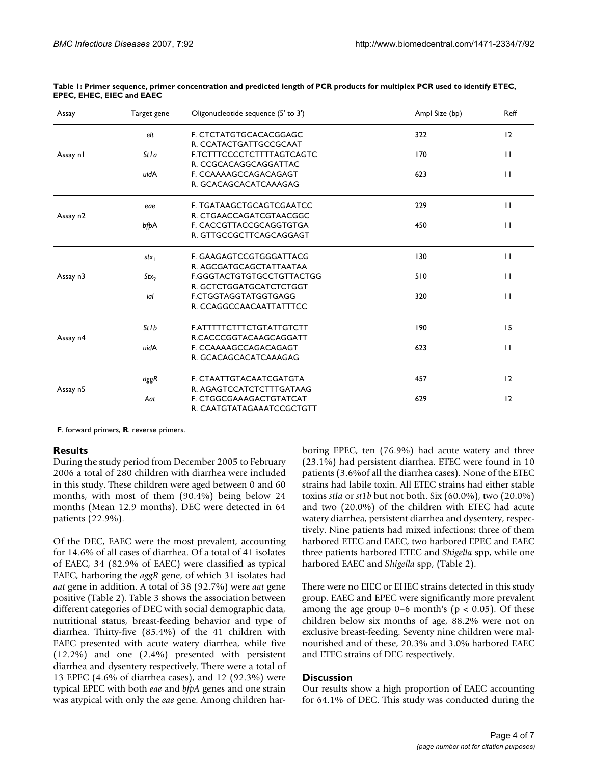| 12           |
|--------------|
|              |
|              |
| $\mathbf{H}$ |
|              |
| $\mathbf{H}$ |
|              |
| $\mathbf{H}$ |
|              |
| $\mathbf{H}$ |
|              |
| $\mathbf{H}$ |
|              |
| $\mathbf{H}$ |
|              |
| $\mathbf{H}$ |
|              |
| 15           |
|              |
| $\mathbf{H}$ |
|              |
| 12           |
|              |
| 12           |
|              |
|              |

|                                  | Table 1: Primer sequence, primer concentration and predicted length of PCR products for multiplex PCR used to identify ETEC, |
|----------------------------------|------------------------------------------------------------------------------------------------------------------------------|
| <b>EPEC, EHEC, EIEC and EAEC</b> |                                                                                                                              |

**F**. forward primers, **R**. reverse primers.

#### **Results**

During the study period from December 2005 to February 2006 a total of 280 children with diarrhea were included in this study. These children were aged between 0 and 60 months, with most of them (90.4%) being below 24 months (Mean 12.9 months). DEC were detected in 64 patients (22.9%).

Of the DEC, EAEC were the most prevalent, accounting for 14.6% of all cases of diarrhea. Of a total of 41 isolates of EAEC, 34 (82.9% of EAEC) were classified as typical EAEC, harboring the *aggR* gene, of which 31 isolates had *aat* gene in addition. A total of 38 (92.7%) were *aat* gene positive (Table 2). Table 3 shows the association between different categories of DEC with social demographic data, nutritional status, breast-feeding behavior and type of diarrhea. Thirty-five (85.4%) of the 41 children with EAEC presented with acute watery diarrhea, while five (12.2%) and one (2.4%) presented with persistent diarrhea and dysentery respectively. There were a total of 13 EPEC (4.6% of diarrhea cases), and 12 (92.3%) were typical EPEC with both *eae* and *bfpA* genes and one strain was atypical with only the *eae* gene. Among children harboring EPEC, ten (76.9%) had acute watery and three (23.1%) had persistent diarrhea. ETEC were found in 10 patients (3.6%of all the diarrhea cases). None of the ETEC strains had labile toxin. All ETEC strains had either stable toxins *stIa* or *st1b* but not both. Six (60.0%), two (20.0%) and two (20.0%) of the children with ETEC had acute watery diarrhea, persistent diarrhea and dysentery, respectively. Nine patients had mixed infections; three of them harbored ETEC and EAEC, two harbored EPEC and EAEC three patients harbored ETEC and *Shigella* spp, while one harbored EAEC and *Shigella* spp, (Table 2).

There were no EIEC or EHEC strains detected in this study group. EAEC and EPEC were significantly more prevalent among the age group  $0-6$  month's ( $p < 0.05$ ). Of these children below six months of age, 88.2% were not on exclusive breast-feeding. Seventy nine children were malnourished and of these, 20.3% and 3.0% harbored EAEC and ETEC strains of DEC respectively.

#### **Discussion**

Our results show a high proportion of EAEC accounting for 64.1% of DEC. This study was conducted during the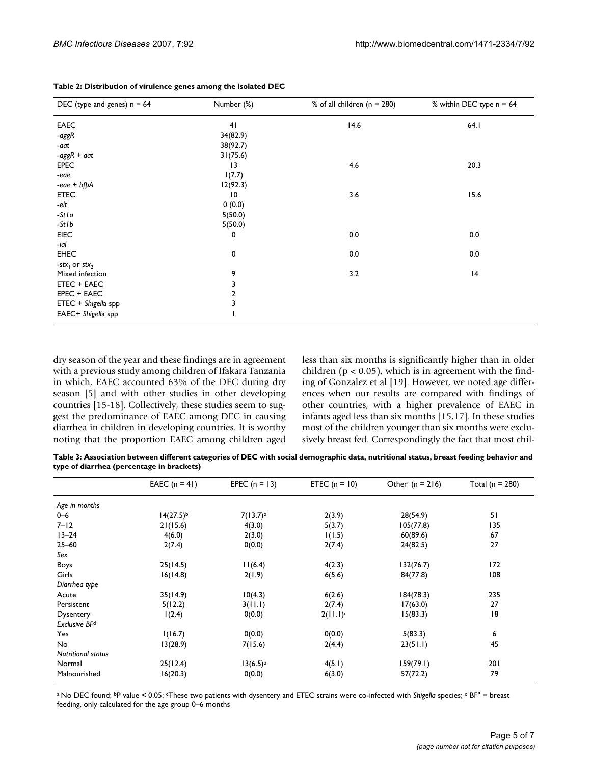| DEC (type and genes) $n = 64$         | Number (%)      | % of all children ( $n = 280$ ) | % within DEC type n = 64 |
|---------------------------------------|-----------------|---------------------------------|--------------------------|
| <b>EAEC</b>                           | 41              | 14.6                            | 64.1                     |
| -aggR                                 | 34(82.9)        |                                 |                          |
| -aat                                  | 38(92.7)        |                                 |                          |
| -agg $R + a$ at                       | 31(75.6)        |                                 |                          |
| <b>EPEC</b>                           | $\overline{13}$ | 4.6                             | 20.3                     |
| -eae                                  | 1(7.7)          |                                 |                          |
| $-eae + bfpA$                         | 12(92.3)        |                                 |                          |
| <b>ETEC</b>                           | $\overline{10}$ | 3.6                             | 15.6                     |
| -elt                                  | 0(0.0)          |                                 |                          |
| -Stla                                 | 5(50.0)         |                                 |                          |
| $-Stlb$                               | 5(50.0)         |                                 |                          |
| <b>EIEC</b>                           | 0               | 0.0                             | 0.0                      |
| -ial                                  |                 |                                 |                          |
| <b>EHEC</b>                           | 0               | 0.0                             | 0.0                      |
| -stx <sub>1</sub> or stx <sub>2</sub> |                 |                                 |                          |
| Mixed infection                       | 9               | 3.2                             | 4                        |
| <b>ETEC + EAEC</b>                    | 3               |                                 |                          |
| EPEC + EAEC                           | 2               |                                 |                          |
| ETEC + Shigella spp                   | 3               |                                 |                          |
| EAEC+ Shigella spp                    |                 |                                 |                          |

**Table 2: Distribution of virulence genes among the isolated DEC**

dry season of the year and these findings are in agreement with a previous study among children of Ifakara Tanzania in which, EAEC accounted 63% of the DEC during dry season [5] and with other studies in other developing countries [15-[18\]](#page-6-1). Collectively, these studies seem to suggest the predominance of EAEC among DEC in causing diarrhea in children in developing countries. It is worthy noting that the proportion EAEC among children aged less than six months is significantly higher than in older children ( $p < 0.05$ ), which is in agreement with the finding of Gonzalez et al [19]. However, we noted age differences when our results are compared with findings of other countries, with a higher prevalence of EAEC in infants aged less than six months [15[,17](#page-6-2)]. In these studies most of the children younger than six months were exclusively breast fed. Correspondingly the fact that most chil-

**Table 3: Association between different categories of DEC with social demographic data, nutritional status, breast feeding behavior and type of diarrhea (percentage in brackets)**

|                           | EAEC $(n = 41)$ | EPEC $(n = 13)$ | ETEC $(n = 10)$ | Other <sup>a</sup> (n = 216) | Total ( $n = 280$ ) |
|---------------------------|-----------------|-----------------|-----------------|------------------------------|---------------------|
| Age in months             |                 |                 |                 |                              |                     |
| $0 - 6$                   | $14(27.5)^{b}$  | $7(13.7)^{b}$   | 2(3.9)          | 28(54.9)                     | 51                  |
| $7 - 12$                  | 21(15.6)        | 4(3.0)          | 5(3.7)          | 105(77.8)                    | 135                 |
| $13 - 24$                 | 4(6.0)          | 2(3.0)          | 1(1.5)          | 60(89.6)                     | 67                  |
| $25 - 60$                 | 2(7.4)          | 0(0.0)          | 2(7.4)          | 24(82.5)                     | 27                  |
| Sex                       |                 |                 |                 |                              |                     |
| Boys                      | 25(14.5)        | 11(6.4)         | 4(2.3)          | 132(76.7)                    | 172                 |
| Girls                     | 16(14.8)        | 2(1.9)          | 6(5.6)          | 84(77.8)                     | 108                 |
| Diarrhea type             |                 |                 |                 |                              |                     |
| Acute                     | 35(14.9)        | 10(4.3)         | 6(2.6)          | 184(78.3)                    | 235                 |
| Persistent                | 5(12.2)         | 3(11.1)         | 2(7.4)          | 17(63.0)                     | 27                  |
| Dysentery                 | 1(2.4)          | 0(0.0)          | $2(11.1)^c$     | 15(83.3)                     | 18                  |
| Exclusive BF <sup>d</sup> |                 |                 |                 |                              |                     |
| Yes                       | 1(16.7)         | 0(0.0)          | 0(0.0)          | 5(83.3)                      | 6                   |
| No                        | 13(28.9)        | 7(15.6)         | 2(4.4)          | 23(51.1)                     | 45                  |
| <b>Nutritional status</b> |                 |                 |                 |                              |                     |
| Normal                    | 25(12.4)        | $13(6.5)^{b}$   | 4(5.1)          | 159(79.1)                    | 201                 |
| Malnourished              | 16(20.3)        | 0(0.0)          | 6(3.0)          | 57(72.2)                     | 79                  |

a No DEC found; bP value < 0.05; cThese two patients with dysentery and ETEC strains were co-infected with *Shigella* species; d"BF" = breast feeding, only calculated for the age group 0–6 months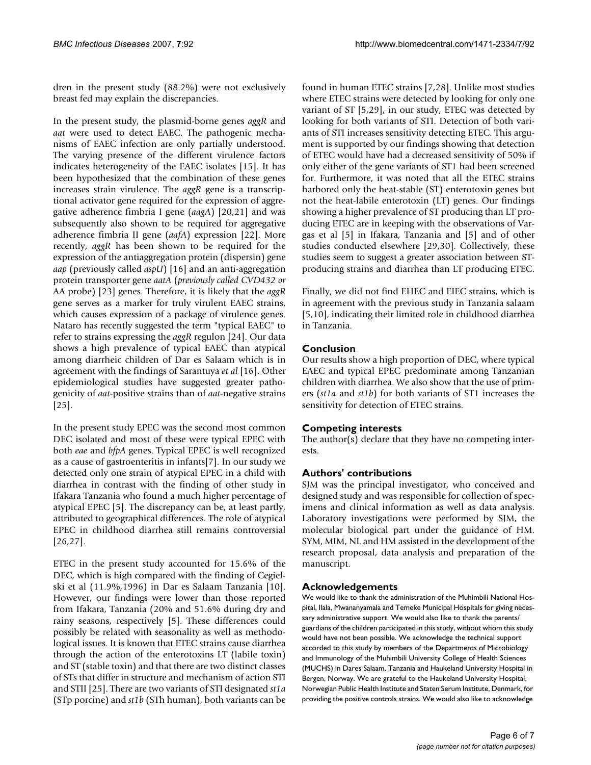dren in the present study (88.2%) were not exclusively breast fed may explain the discrepancies.

In the present study, the plasmid-borne genes *aggR* and *aat* were used to detect EAEC. The pathogenic mechanisms of EAEC infection are only partially understood. The varying presence of the different virulence factors indicates heterogeneity of the EAEC isolates [15]. It has been hypothesized that the combination of these genes increases strain virulence. The *aggR* gene is a transcriptional activator gene required for the expression of aggregative adherence fimbria I gene (*aagA*) [20,21] and was subsequently also shown to be required for aggregative adherence fimbria II gene (*aafA*) expression [22]. More recently, *aggR* has been shown to be required for the expression of the antiaggregation protein (dispersin) gene *aap* (previously called *aspU*) [16] and an anti-aggregation protein transporter gene *aatA* (*previously called CVD432 or* AA probe) [23] genes. Therefore, it is likely that the *aggR* gene serves as a marker for truly virulent EAEC strains, which causes expression of a package of virulence genes. Nataro has recently suggested the term "typical EAEC" to refer to strains expressing the *aggR* regulon [24]. Our data shows a high prevalence of typical EAEC than atypical among diarrheic children of Dar es Salaam which is in agreement with the findings of Sarantuya *et al* [16]. Other epidemiological studies have suggested greater pathogenicity of *aat*-positive strains than of *aat*-negative strains [25].

In the present study EPEC was the second most common DEC isolated and most of these were typical EPEC with both *eae* and *bfpA* genes. Typical EPEC is well recognized as a cause of gastroenteritis in infants[7]. In our study we detected only one strain of atypical EPEC in a child with diarrhea in contrast with the finding of other study in Ifakara Tanzania who found a much higher percentage of atypical EPEC [5]. The discrepancy can be, at least partly, attributed to geographical differences. The role of atypical EPEC in childhood diarrhea still remains controversial [26,27].

ETEC in the present study accounted for 15.6% of the DEC, which is high compared with the finding of Cegielski et al (11.9%,1996) in Dar es Salaam Tanzania [\[10](#page-6-0)]. However, our findings were lower than those reported from Ifakara, Tanzania (20% and 51.6% during dry and rainy seasons, respectively [5]. These differences could possibly be related with seasonality as well as methodological issues. It is known that ETEC strains cause diarrhea through the action of the enterotoxins LT (labile toxin) and ST (stable toxin) and that there are two distinct classes of STs that differ in structure and mechanism of action STI and STII [25]. There are two variants of STI designated *st1a* (STp porcine) and *st1b* (STh human), both variants can be found in human ETEC strains [7,28]. Unlike most studies where ETEC strains were detected by looking for only one variant of ST [5,29], in our study, ETEC was detected by looking for both variants of STI. Detection of both variants of STI increases sensitivity detecting ETEC. This argument is supported by our findings showing that detection of ETEC would have had a decreased sensitivity of 50% if only either of the gene variants of ST1 had been screened for. Furthermore, it was noted that all the ETEC strains harbored only the heat-stable (ST) enterotoxin genes but not the heat-labile enterotoxin (LT) genes. Our findings showing a higher prevalence of ST producing than LT producing ETEC are in keeping with the observations of Vargas et al [5] in Ifakara, Tanzania and [5] and of other studies conducted elsewhere [29,[30\]](#page-6-3). Collectively, these studies seem to suggest a greater association between STproducing strains and diarrhea than LT producing ETEC.

Finally, we did not find EHEC and EIEC strains, which is in agreement with the previous study in Tanzania salaam [5[,10](#page-6-0)], indicating their limited role in childhood diarrhea in Tanzania.

#### **Conclusion**

Our results show a high proportion of DEC, where typical EAEC and typical EPEC predominate among Tanzanian children with diarrhea. We also show that the use of primers (*st1a* and *st1b*) for both variants of ST1 increases the sensitivity for detection of ETEC strains.

### **Competing interests**

The author(s) declare that they have no competing interests.

#### **Authors' contributions**

SJM was the principal investigator, who conceived and designed study and was responsible for collection of specimens and clinical information as well as data analysis. Laboratory investigations were performed by SJM, the molecular biological part under the guidance of HM. SYM, MIM, NL and HM assisted in the development of the research proposal, data analysis and preparation of the manuscript.

#### **Acknowledgements**

We would like to thank the administration of the Muhimbili National Hospital, Ilala, Mwananyamala and Temeke Municipal Hospitals for giving necessary administrative support. We would also like to thank the parents/ guardians of the children participated in this study, without whom this study would have not been possible. We acknowledge the technical support accorded to this study by members of the Departments of Microbiology and Immunology of the Muhimbili University College of Health Sciences (MUCHS) in Dares Salaam, Tanzania and Haukeland University Hospital in Bergen, Norway. We are grateful to the Haukeland University Hospital, Norwegian Public Health Institute and Staten Serum Institute, Denmark, for providing the positive controls strains. We would also like to acknowledge